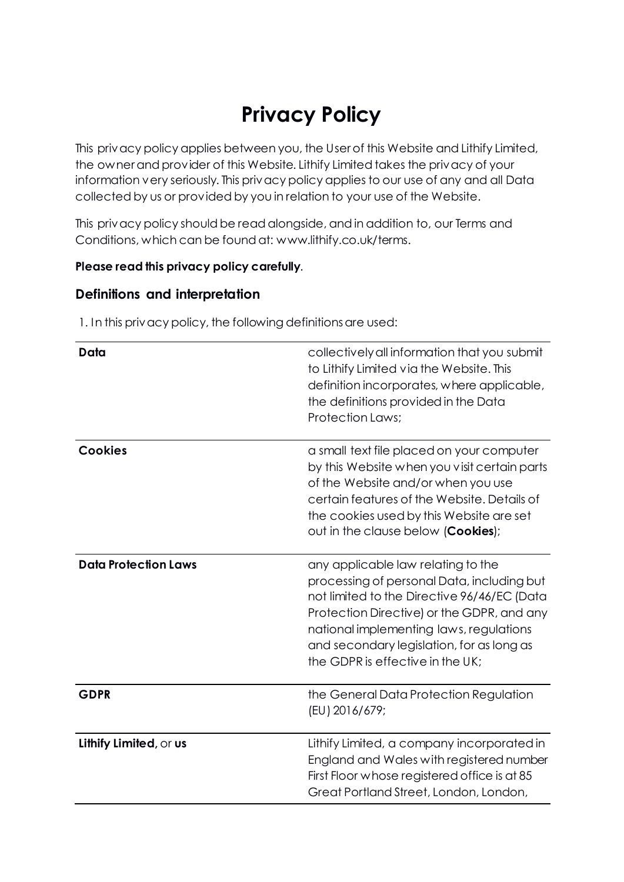# **Privacy Policy**

This privacy policy applies between you, the User of this Website and Lithify Limited, the owner and provider of this Website. Lithify Limited takes the privacy of your information very seriously. This privacy policy applies to our use of any and all Data collected by us or provided by you in relation to your use of the Website.

This privacy policy should be read alongside, and in addition to, our Terms and Conditions, which can be found at: www.lithify.co.uk/terms.

#### **Please read this privacy policy carefully**.

#### **Definitions and interpretation**

1. In this privacy policy, the following definitions are used:

| Data                        | collectively all information that you submit<br>to Lithify Limited via the Website. This<br>definition incorporates, where applicable,<br>the definitions provided in the Data<br><b>Protection Laws;</b>                                                                                                 |
|-----------------------------|-----------------------------------------------------------------------------------------------------------------------------------------------------------------------------------------------------------------------------------------------------------------------------------------------------------|
| <b>Cookies</b>              | a small text file placed on your computer<br>by this Website when you visit certain parts<br>of the Website and/or when you use<br>certain features of the Website. Details of<br>the cookies used by this Website are set<br>out in the clause below (Cookies);                                          |
| <b>Data Protection Laws</b> | any applicable law relating to the<br>processing of personal Data, including but<br>not limited to the Directive 96/46/EC (Data<br>Protection Directive) or the GDPR, and any<br>national implementing laws, regulations<br>and secondary legislation, for as long as<br>the GDPR is effective in the UK; |
| <b>GDPR</b>                 | the General Data Protection Regulation<br>(EU) 2016/679;                                                                                                                                                                                                                                                  |
| Lithify Limited, or us      | Lithify Limited, a company incorporated in<br>England and Wales with registered number<br>First Floor whose registered office is at 85<br>Great Portland Street, London, London,                                                                                                                          |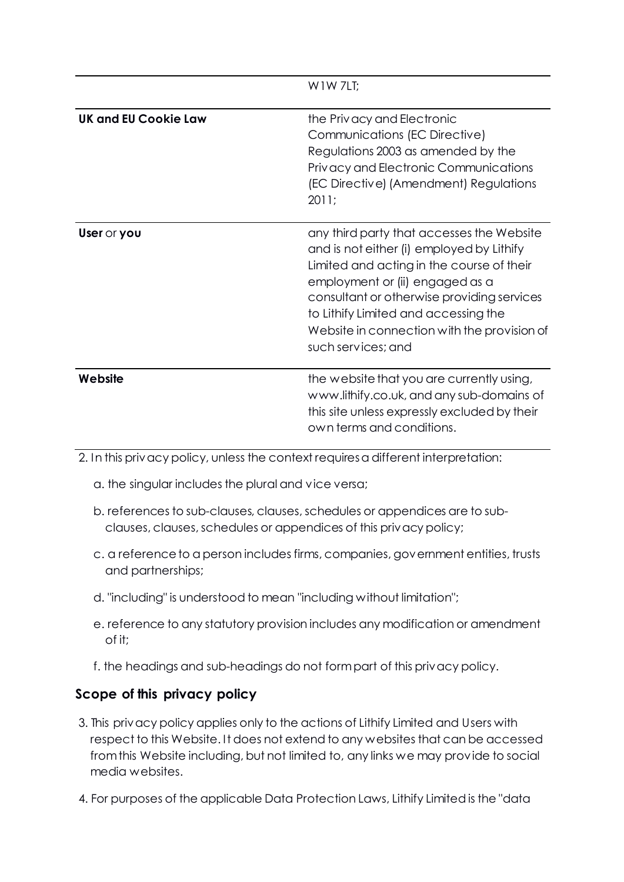|                      | W 1 W 7LT:                                                                                                                                                                                                                                                                                                                        |
|----------------------|-----------------------------------------------------------------------------------------------------------------------------------------------------------------------------------------------------------------------------------------------------------------------------------------------------------------------------------|
| UK and EU Cookie Law | the Privacy and Electronic<br>Communications (EC Directive)<br>Regulations 2003 as amended by the<br>Privacy and Electronic Communications<br>(EC Directive) (Amendment) Regulations<br>2011;                                                                                                                                     |
| User or you          | any third party that accesses the Website<br>and is not either (i) employed by Lithify<br>Limited and acting in the course of their<br>employment or (ii) engaged as a<br>consultant or otherwise providing services<br>to Lithify Limited and accessing the<br>Website in connection with the provision of<br>such services; and |
| Website              | the website that you are currently using,<br>www.lithify.co.uk, and any sub-domains of<br>this site unless expressly excluded by their<br>own terms and conditions.                                                                                                                                                               |

2. In this privacy policy, unless the context requires a different interpretation:

- a. the singular includes the plural and vice versa;
- b. references to sub-clauses, clauses, schedules or appendices are to subclauses, clauses, schedules or appendices of this privacy policy;
- c. a reference to a person includes firms, companies, government entities, trusts and partnerships;
- d. "including" is understood to mean "including without limitation";
- e. reference to any statutory provision includes any modification or amendment of it;
- f. the headings and sub-headings do not form part of this privacy policy.

# **Scope of this privacy policy**

- 3. This privacy policy applies only to the actions of Lithify Limited and Users with respect to this Website. It does not extend to any websites that can be accessed from this Website including, but not limited to, any links we may provide to social media websites.
- 4. For purposes of the applicable Data Protection Laws, Lithify Limited is the "data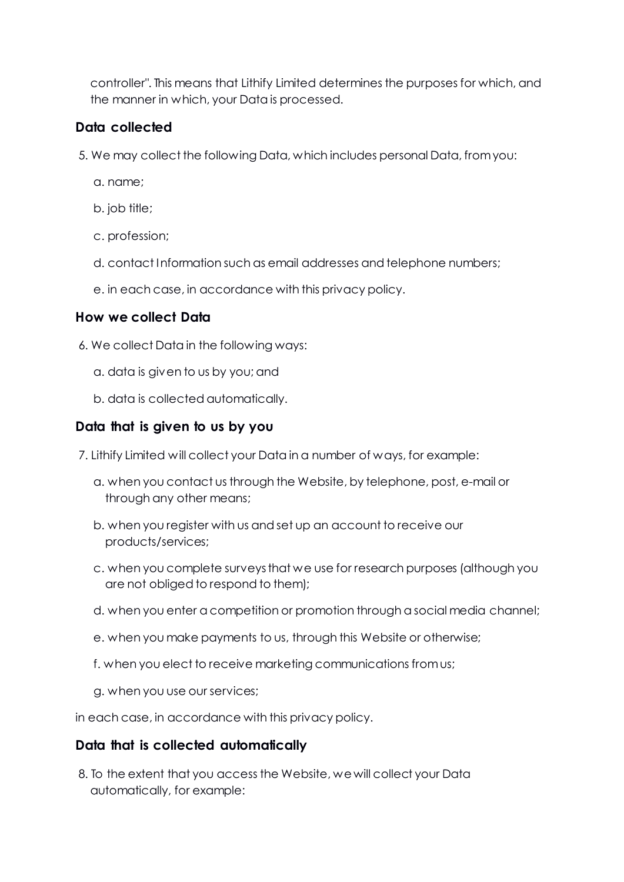controller". This means that Lithify Limited determines the purposes for which, and the manner in which, your Data is processed.

# **Data collected**

- 5. We may collect the following Data, which includes personal Data, from you:
	- a. name;
	- b. job title;
	- c. profession;
	- d. contact Information such as email addresses and telephone numbers;
	- e. in each case, in accordance with this privacy policy.

#### **How we collect Data**

- 6. We collect Data in the following ways:
	- a. data is given to us by you; and
	- b. data is collected automatically.

## **Data that is given to us by you**

- 7. Lithify Limited will collect your Data in a number of ways, for example:
	- a. when you contact us through the Website, by telephone, post, e-mail or through any other means;
	- b. when you register with us and set up an account to receive our products/services;
	- c. when you complete surveys that we use for research purposes (although you are not obliged to respond to them);
	- d. when you enter a competition or promotion through a social media channel;
	- e. when you make payments to us, through this Website or otherwise;
	- f. when you elect to receive marketing communications from us;
	- g. when you use our services;

in each case, in accordance with this privacy policy.

#### **Data that is collected automatically**

8. To the extent that you access the Website, we will collect your Data automatically, for example: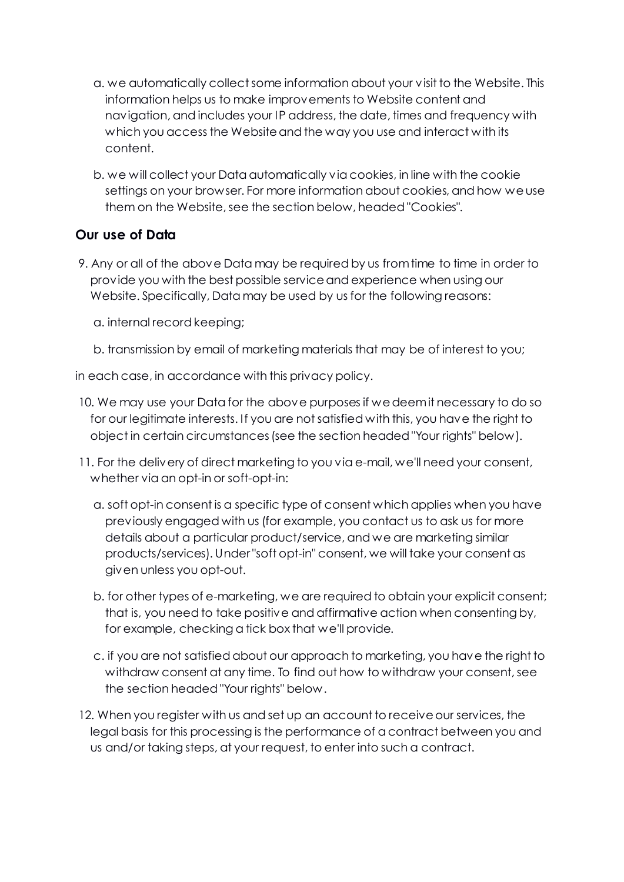- a. we automatically collect some information about your visit to the Website. This information helps us to make improvements to Website content and navigation, and includes your IP address, the date, times and frequency with which you access the Website and the way you use and interact with its content.
- b. we will collect your Data automatically via cookies, in line with the cookie settings on your browser. For more information about cookies, and how we use them on the Website, see the section below, headed "Cookies".

# **Our use of Data**

- 9. Any or all of the above Data may be required by us from time to time in order to provide you with the best possible service and experience when using our Website. Specifically, Data may be used by us for the following reasons:
	- a. internal record keeping;
	- b. transmission by email of marketing materials that may be of interest to you;

in each case, in accordance with this privacy policy.

- 10. We may use your Data for the above purposes if we deem it necessary to do so for our legitimate interests. If you are not satisfied with this, you have the right to object in certain circumstances (see the section headed "Your rights" below).
- 11. For the delivery of direct marketing to you via e-mail, we'll need your consent, whether via an opt-in or soft-opt-in:
	- a. soft opt-in consent is a specific type of consent which applies when you have previously engaged with us (for example, you contact us to ask us for more details about a particular product/service, and we are marketing similar products/services). Under "soft opt-in" consent, we will take your consent as given unless you opt-out.
	- b. for other types of e-marketing, we are required to obtain your explicit consent; that is, you need to take positive and affirmative action when consenting by, for example, checking a tick box that we'll provide.
	- c. if you are not satisfied about our approach to marketing, you have the right to withdraw consent at any time. To find out how to withdraw your consent, see the section headed "Your rights" below.
- 12. When you register with us and set up an account to receive our services, the legal basis for this processing is the performance of a contract between you and us and/or taking steps, at your request, to enter into such a contract.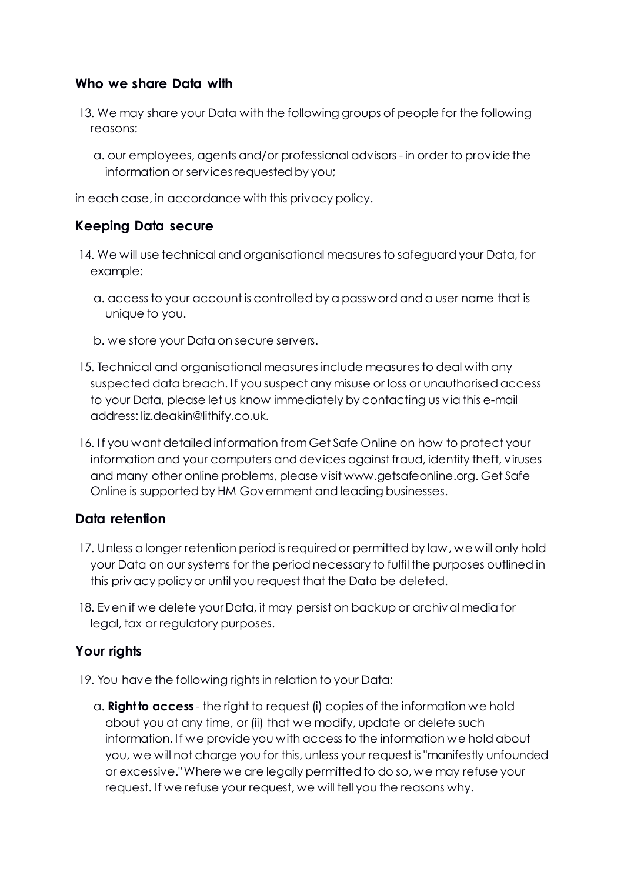#### **Who we share Data with**

- 13. We may share your Data with the following groups of people for the following reasons:
	- a. our employees, agents and/or professional advisors in order to provide the information or services requested by you;

in each case, in accordance with this privacy policy.

#### **Keeping Data secure**

- 14. We will use technical and organisational measures to safeguard your Data, for example:
	- a. access to your account is controlled by a password and a user name that is unique to you.
	- b. we store your Data on secure servers.
- 15. Technical and organisational measures include measures to deal with any suspected data breach. If you suspect any misuse or loss or unauthorised access to your Data, please let us know immediately by contacting us via this e-mail address: liz.deakin@lithify.co.uk.
- 16. If you want detailed information from Get Safe Online on how to protect your information and your computers and devices against fraud, identity theft, viruses and many other online problems, please visit www.getsafeonline.org. Get Safe Online is supported by HM Government and leading businesses.

#### **Data retention**

- 17. Unless a longer retention period is required or permitted by law, we will only hold your Data on our systems for the period necessary to fulfil the purposes outlined in this privacy policy or until you request that the Data be deleted.
- 18. Even if we delete your Data, it may persist on backup or archival media for legal, tax or regulatory purposes.

## **Your rights**

- 19. You have the following rights in relation to your Data:
	- a. **Right to access** the right to request (i) copies of the information we hold about you at any time, or (ii) that we modify, update or delete such information. If we provide you with access to the information we hold about you, we will not charge you for this, unless your request is "manifestly unfounded or excessive." Where we are legally permitted to do so, we may refuse your request. If we refuse your request, we will tell you the reasons why.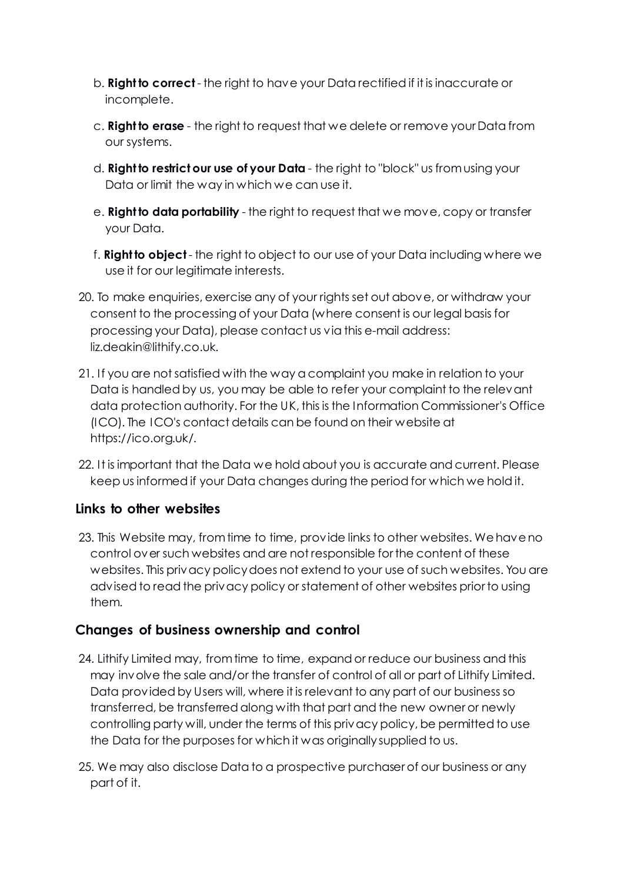- b. **Right to correct** the right to have your Data rectified if it is inaccurate or incomplete.
- c. **Right to erase** the right to request that we delete or remove your Data from our systems.
- d. **Right to restrict our use of your Data** the right to "block" us from using your Data or limit the way in which we can use it.
- e. **Right to data portability** the right to request that we move, copy or transfer your Data.
- f. **Right to object** the right to object to our use of your Data including where we use it for our legitimate interests.
- 20. To make enquiries, exercise any of your rights set out above, or withdraw your consent to the processing of your Data (where consent is our legal basis for processing your Data), please contact us via this e-mail address: liz.deakin@lithify.co.uk.
- 21. If you are not satisfied with the way a complaint you make in relation to your Data is handled by us, you may be able to refer your complaint to the relevant data protection authority. For the UK, this is the Information Commissioner's Office (ICO). The ICO's contact details can be found on their website at https://ico.org.uk/.
- 22. It is important that the Data we hold about you is accurate and current. Please keep us informed if your Data changes during the period for which we hold it.

## **Links to other websites**

23. This Website may, from time to time, provide links to other websites. We have no control over such websites and are not responsible for the content of these websites. This privacy policy does not extend to your use of such websites. You are advised to read the privacy policy or statement of other websites prior to using them.

## **Changes of business ownership and control**

- 24. Lithify Limited may, from time to time, expand or reduce our business and this may involve the sale and/or the transfer of control of all or part of Lithify Limited. Data provided by Users will, where it is relevant to any part of our business so transferred, be transferred along with that part and the new owner or newly controlling party will, under the terms of this privacy policy, be permitted to use the Data for the purposes for which it was originally supplied to us.
- 25. We may also disclose Data to a prospective purchaser of our business or any part of it.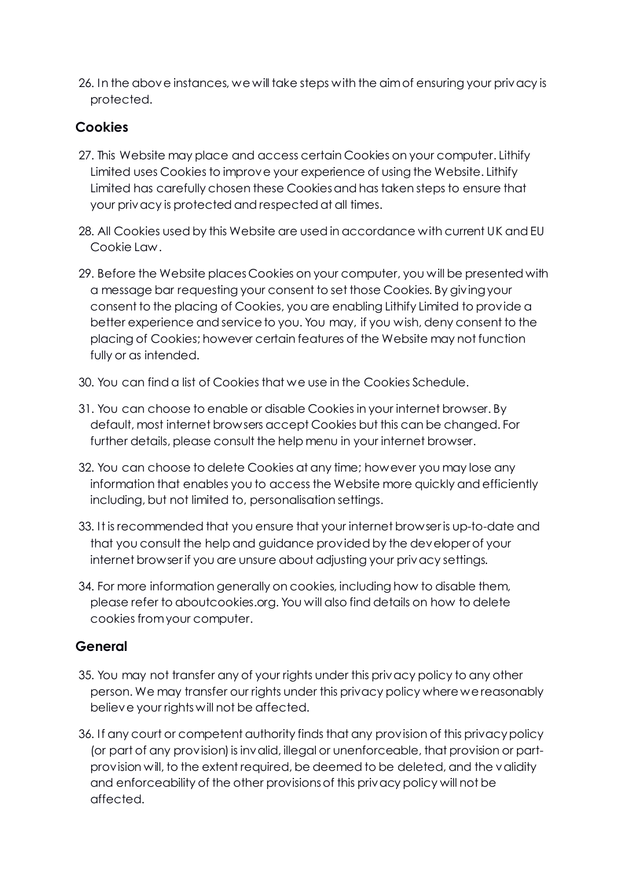26. In the above instances, we will take steps with the aim of ensuring your privacy is protected.

# **Cookies**

- 27. This Website may place and access certain Cookies on your computer. Lithify Limited uses Cookies to improve your experience of using the Website. Lithify Limited has carefully chosen these Cookies and has taken steps to ensure that your privacy is protected and respected at all times.
- 28. All Cookies used by this Website are used in accordance with current UK and EU Cookie Law.
- 29. Before the Website places Cookies on your computer, you will be presented with a message bar requesting your consent to set those Cookies. By giving your consent to the placing of Cookies, you are enabling Lithify Limited to provide a better experience and service to you. You may, if you wish, deny consent to the placing of Cookies; however certain features of the Website may not function fully or as intended.
- 30. You can find a list of Cookies that we use in the Cookies Schedule.
- 31. You can choose to enable or disable Cookies in your internet browser. By default, most internet browsers accept Cookies but this can be changed. For further details, please consult the help menu in your internet browser.
- 32. You can choose to delete Cookies at any time; however you may lose any information that enables you to access the Website more quickly and efficiently including, but not limited to, personalisation settings.
- 33. It is recommended that you ensure that your internet browser is up-to-date and that you consult the help and guidance provided by the developer of your internet browser if you are unsure about adjusting your privacy settings.
- 34. For more information generally on cookies, including how to disable them, please refer to aboutcookies.org. You will also find details on how to delete cookies from your computer.

## **General**

- 35. You may not transfer any of your rights under this privacy policy to any other person. We may transfer our rights under this privacy policy where we reasonably believe your rights will not be affected.
- 36. If any court or competent authority finds that any provision of this privacy policy (or part of any provision) is invalid, illegal or unenforceable, that provision or partprovision will, to the extent required, be deemed to be deleted, and the validity and enforceability of the other provisions of this privacy policy will not be affected.